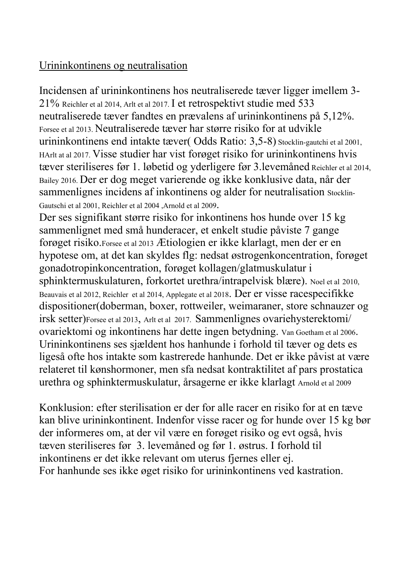## Urininkontinens og neutralisation

Incidensen af urininkontinens hos neutraliserede tæver ligger imellem 3- 21% Reichler et al 2014, Arlt et al 2017. I et retrospektivt studie med 533 neutraliserede tæver fandtes en prævalens af urininkontinens på 5,12%. Forsee et al 2013. Neutraliserede tæver har større risiko for at udvikle urininkontinens end intakte tæver( Odds Ratio: 3,5-8) Stocklin-gautchi et al 2001, HArlt at al 2017. Visse studier har vist forøget risiko for urininkontinens hvis tæver steriliseres før 1. løbetid og yderligere før 3.levemåned Reichler et al 2014, Bailey 2016. Der er dog meget varierende og ikke konklusive data, når der sammenlignes incidens af inkontinens og alder for neutralisation Stocklin-Gautschi et al 2001, Reichler et al 2004 ,Arnold et al 2009.

Der ses signifikant større risiko for inkontinens hos hunde over 15 kg sammenlignet med små hunderacer, et enkelt studie påviste 7 gange forøget risiko.Forsee et al 2013 Ætiologien er ikke klarlagt, men der er en hypotese om, at det kan skyldes flg: nedsat østrogenkoncentration, forøget gonadotropinkoncentration, forøget kollagen/glatmuskulatur i sphinktermuskulaturen, forkortet urethra/intrapelvisk blære). Noel et al 2010, Beauvais et al 2012, Reichler et al 2014, Applegate et al 2018. Der er visse racespecifikke dispositioner(doberman, boxer, rottweiler, weimaraner, store schnauzer og irsk setter)Forsee et al 2013, Arlt et al 2017. Sammenlignes ovariehysterektomi/ ovariektomi og inkontinens har dette ingen betydning. Van Goetham et al 2006. Urininkontinens ses sjældent hos hanhunde i forhold til tæver og dets es ligeså ofte hos intakte som kastrerede hanhunde. Det er ikke påvist at være relateret til kønshormoner, men sfa nedsat kontraktilitet af pars prostatica urethra og sphinktermuskulatur, årsagerne er ikke klarlagt Arnold et al 2009

Konklusion: efter sterilisation er der for alle racer en risiko for at en tæve kan blive urininkontinent. Indenfor visse racer og for hunde over 15 kg bør der informeres om, at der vil være en forøget risiko og evt også, hvis tæven steriliseres før 3. levemåned og før 1. østrus. I forhold til inkontinens er det ikke relevant om uterus fjernes eller ej. For hanhunde ses ikke øget risiko for urininkontinens ved kastration.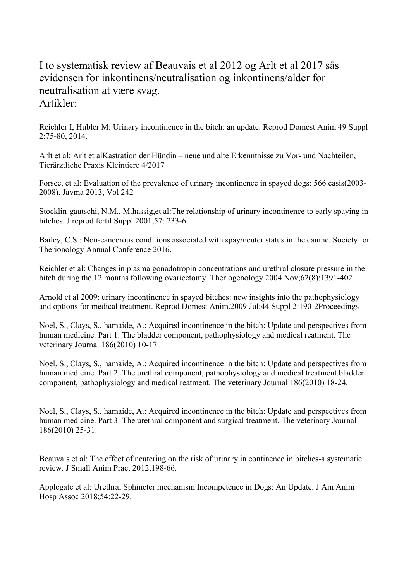## I to systematisk review af Beauvais et al 2012 og Arlt et al 2017 sås evidensen for inkontinens/neutralisation og inkontinens/alder for neutralisation at være svag. Artikler:

Reichler I, Hubler M: Urinary incontinence in the bitch: an update. Reprod Domest Anim 49 Suppl 2:75-80, 2014.

Arlt et al: Arlt et alKastration der Hündin – neue und alte Erkenntnisse zu Vor- und Nachteilen, Tierärztliche Praxis Kleintiere 4/2017

Forsee, et al: Evaluation of the prevalence of urinary incontinence in spayed dogs: 566 casis(2003- 2008). Javma 2013, Vol 242

Stocklin-gautschi, N.M., M.hassig,et al:The relationship of urinary incontinence to early spaying in bitches. J reprod fertil Suppl 2001;57: 233-6.

Bailey, C.S.: Non-cancerous conditions associated with spay/neuter status in the canine. Society for Therionology Annual Conference 2016.

Reichler et al: Changes in plasma gonadotropin concentrations and urethral closure pressure in the bitch during the 12 months following ovariectomy. Theriogenology 2004 Nov;62(8):1391-402

Arnold et al 2009: urinary incontinence in spayed bitches: new insights into the pathophysiology and options for medical treatment. Reprod Domest Anim.2009 Jul;44 Suppl 2:190-2Proceedings

Noel, S., Clays, S., hamaide, A.: Acquired incontinence in the bitch: Update and perspectives from human medicine. Part 1: The bladder component, pathophysiology and medical reatment. The veterinary Journal 186(2010) 10-17.

Noel, S., Clays, S., hamaide, A.: Acquired incontinence in the bitch: Update and perspectives from human medicine. Part 2: The urethral component, pathophysiology and medical treatment.bladder component, pathophysiology and medical reatment. The veterinary Journal 186(2010) 18-24.

Noel, S., Clays, S., hamaide, A.: Acquired incontinence in the bitch: Update and perspectives from human medicine. Part 3: The urethral component and surgical treatment. The veterinary Journal 186(2010) 25-31.

Beauvais et al: The effect of neutering on the risk of urinary in continence in bitches-a systematic review. J Small Anim Pract 2012;198-66.

Applegate et al: Urethral Sphincter mechanism Incompetence in Dogs: An Update. J Am Anim Hosp Assoc 2018;54:22-29.